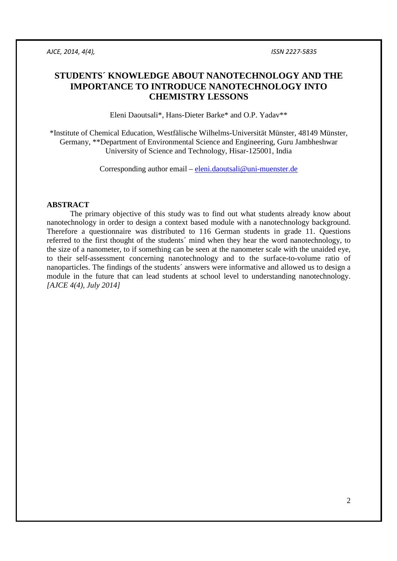# **STUDENTS´ KNOWLEDGE ABOUT NANOTECHNOLOGY AND THE IMPORTANCE TO INTRODUCE NANOTECHNOLOGY INTO CHEMISTRY LESSONS**

Eleni Daoutsali\*, Hans-Dieter Barke\* and O.P. Yadav\*\*

\*Institute of Chemical Education, Westfälische Wilhelms-Universität Münster, 48149 Münster, Germany, \*\*Department of Environmental Science and Engineering, Guru Jambheshwar University of Science and Technology, Hisar-125001, India

Corresponding author email – eleni.daoutsali@uni-muenster.de

## **ABSTRACT**

The primary objective of this study was to find out what students already know about nanotechnology in order to design a context based module with a nanotechnology background. Therefore a questionnaire was distributed to 116 German students in grade 11. Questions referred to the first thought of the students´ mind when they hear the word nanotechnology, to the size of a nanometer, to if something can be seen at the nanometer scale with the unaided eye, to their self-assessment concerning nanotechnology and to the surface-to-volume ratio of nanoparticles. The findings of the students´ answers were informative and allowed us to design a module in the future that can lead students at school level to understanding nanotechnology. *[AJCE 4(4), July 2014]*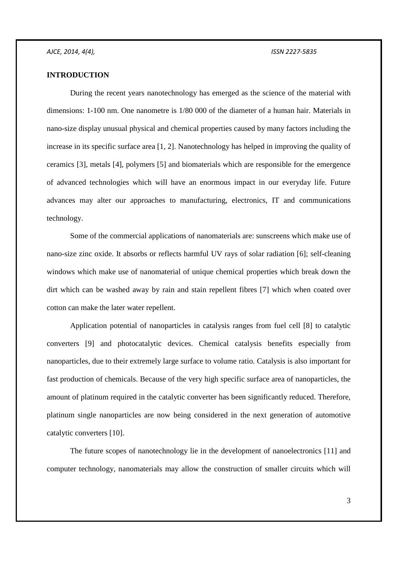## **INTRODUCTION**

During the recent years nanotechnology has emerged as the science of the material with dimensions: 1-100 nm. One nanometre is 1/80 000 of the diameter of a human hair. Materials in nano-size display unusual physical and chemical properties caused by many factors including the increase in its specific surface area [1, 2]. Nanotechnology has helped in improving the quality of ceramics [3], metals [4], polymers [5] and biomaterials which are responsible for the emergence of advanced technologies which will have an enormous impact in our everyday life. Future advances may alter our approaches to manufacturing, electronics, IT and communications technology.

Some of the commercial applications of nanomaterials are: sunscreens which make use of nano-size zinc oxide. It absorbs or reflects harmful UV rays of solar radiation [6]; self-cleaning windows which make use of nanomaterial of unique chemical properties which break down the dirt which can be washed away by rain and stain repellent fibres [7] which when coated over cotton can make the later water repellent.

Application potential of nanoparticles in catalysis ranges from fuel cell [8] to catalytic converters [9] and photocatalytic devices. Chemical catalysis benefits especially from nanoparticles, due to their extremely large surface to volume ratio. Catalysis is also important for fast production of chemicals. Because of the very high specific surface area of nanoparticles, the amount of platinum required in the catalytic converter has been significantly reduced. Therefore, platinum single nanoparticles are now being considered in the next generation of automotive catalytic converters [10].

The future scopes of nanotechnology lie in the development of nanoelectronics [11] and computer technology, nanomaterials may allow the construction of smaller circuits which will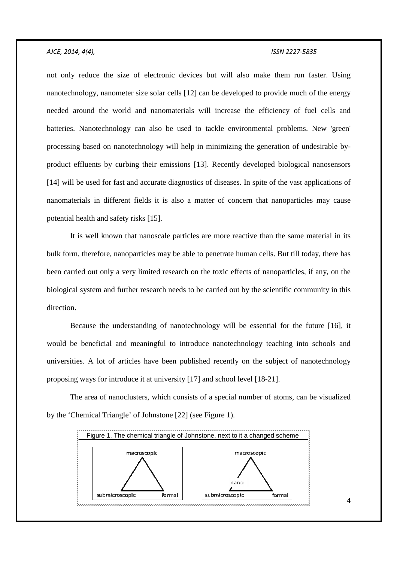not only reduce the size of electronic devices but will also make them run faster. Using nanotechnology, nanometer size solar cells [12] can be developed to provide much of the energy needed around the world and nanomaterials will increase the efficiency of fuel cells and batteries. Nanotechnology can also be used to tackle environmental problems. New 'green' processing based on nanotechnology will help in minimizing the generation of undesirable byproduct effluents by curbing their emissions [13]. Recently developed biological nanosensors [14] will be used for fast and accurate diagnostics of diseases. In spite of the vast applications of nanomaterials in different fields it is also a matter of concern that nanoparticles may cause potential health and safety risks [15].

It is well known that nanoscale particles are more reactive than the same material in its bulk form, therefore, nanoparticles may be able to penetrate human cells. But till today, there has been carried out only a very limited research on the toxic effects of nanoparticles, if any, on the biological system and further research needs to be carried out by the scientific community in this direction.

Because the understanding of nanotechnology will be essential for the future [16], it would be beneficial and meaningful to introduce nanotechnology teaching into schools and universities. A lot of articles have been published recently on the subject of nanotechnology proposing ways for introduce it at university [17] and school level [18-21].

The area of nanoclusters, which consists of a special number of atoms, can be visualized by the 'Chemical Triangle' of Johnstone [22] (see Figure 1).

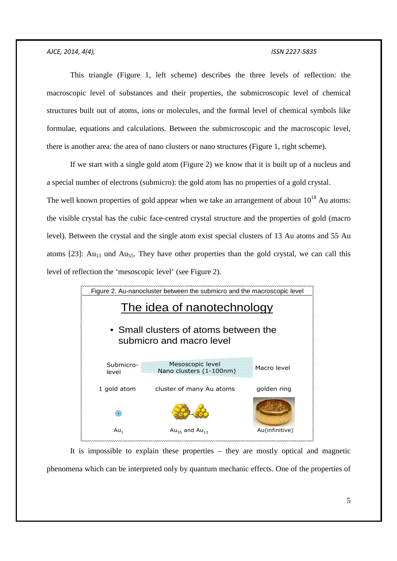This triangle (Figure 1, left scheme) describes the three levels of reflection: the macroscopic level of substances and their properties, the submicroscopic level of chemical structures built out of atoms, ions or molecules, and the formal level of chemical symbols like formulae, equations and calculations. Between the submicroscopic and the macroscopic level, there is another area: the area of nano clusters or nano structures (Figure 1, right scheme).

If we start with a single gold atom (Figure 2) we know that it is built up of a nucleus and a special number of electrons (submicro): the gold atom has no properties of a gold crystal. The well known properties of gold appear when we take an arrangement of about  $10^{18}$  Au atoms: the visible crystal has the cubic face-centred crystal structure and the properties of gold (macro level). Between the crystal and the single atom exist special clusters of 13 Au atoms and 55 Au atoms [23]:  $Au_{13}$  und  $Au_{55}$ . They have other properties than the gold crystal, we can call this level of reflection the 'mesoscopic level' (see Figure 2).



It is impossible to explain these properties – they are mostly optical and magnetic phenomena which can be interpreted only by quantum mechanic effects. One of the properties of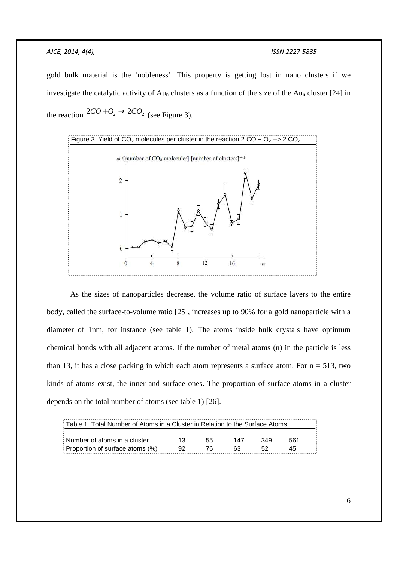gold bulk material is the 'nobleness'. This property is getting lost in nano clusters if we investigate the catalytic activity of Aun clusters as a function of the size of the Aun cluster [24] in the reaction  $2CO + O_2 \rightarrow 2CO_2$  (see Figure 3).



As the sizes of nanoparticles decrease, the volume ratio of surface layers to the entire body, called the surface-to-volume ratio [25], increases up to 90% for a gold nanoparticle with a diameter of 1nm, for instance (see table 1). The atoms inside bulk crystals have optimum chemical bonds with all adjacent atoms. If the number of metal atoms (n) in the particle is less than 13, it has a close packing in which each atom represents a surface atom. For  $n = 513$ , two kinds of atoms exist, the inner and surface ones. The proportion of surface atoms in a cluster depends on the total number of atoms (see table 1) [26].

| ∖ Table 1. Total Number of Atoms in a Cluster in Relation to the Surface Atoms |  |    |     |     |     |
|--------------------------------------------------------------------------------|--|----|-----|-----|-----|
| Number of atoms in a cluster                                                   |  | 55 | 147 | 349 | 561 |
| $\frac{3}{2}$ Proportion of surface atoms (%)                                  |  |    |     |     | 45  |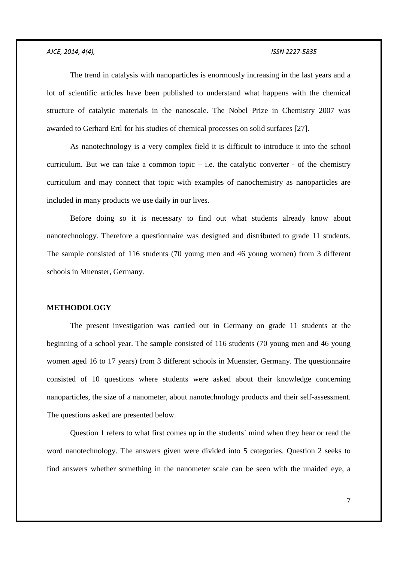The trend in catalysis with nanoparticles is enormously increasing in the last years and a lot of scientific articles have been published to understand what happens with the chemical structure of catalytic materials in the nanoscale. The Nobel Prize in Chemistry 2007 was awarded to Gerhard Ertl for his studies of chemical processes on solid surfaces [27].

As nanotechnology is a very complex field it is difficult to introduce it into the school curriculum. But we can take a common topic  $-$  i.e. the catalytic converter  $-$  of the chemistry curriculum and may connect that topic with examples of nanochemistry as nanoparticles are included in many products we use daily in our lives.

Before doing so it is necessary to find out what students already know about nanotechnology. Therefore a questionnaire was designed and distributed to grade 11 students. The sample consisted of 116 students (70 young men and 46 young women) from 3 different schools in Muenster, Germany.

## **METHODOLOGY**

The present investigation was carried out in Germany on grade 11 students at the beginning of a school year. The sample consisted of 116 students (70 young men and 46 young women aged 16 to 17 years) from 3 different schools in Muenster, Germany. The questionnaire consisted of 10 questions where students were asked about their knowledge concerning nanoparticles, the size of a nanometer, about nanotechnology products and their self-assessment. The questions asked are presented below.

Question 1 refers to what first comes up in the students´ mind when they hear or read the word nanotechnology. The answers given were divided into 5 categories. Question 2 seeks to find answers whether something in the nanometer scale can be seen with the unaided eye, a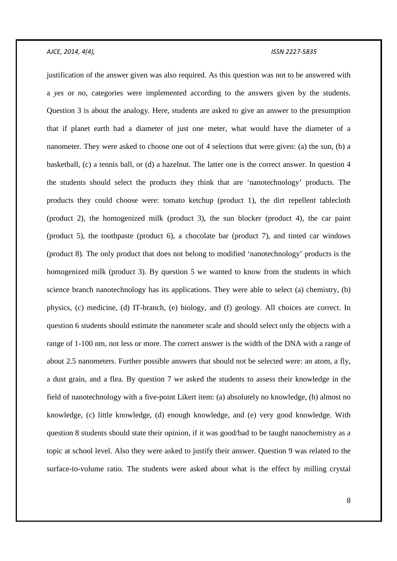justification of the answer given was also required. As this question was not to be answered with a *yes* or *no*, categories were implemented according to the answers given by the students. Question 3 is about the analogy. Here, students are asked to give an answer to the presumption that if planet earth had a diameter of just one meter, what would have the diameter of a nanometer. They were asked to choose one out of 4 selections that were given: (a) the sun, (b) a basketball, (c) a tennis ball, or (d) a hazelnut. The latter one is the correct answer. In question 4 the students should select the products they think that are 'nanotechnology' products. The products they could choose were: tomato ketchup (product 1), the dirt repellent tablecloth (product 2), the homogenized milk (product 3), the sun blocker (product 4), the car paint (product 5), the toothpaste (product 6), a chocolate bar (product 7), and tinted car windows (product 8). The only product that does not belong to modified 'nanotechnology' products is the homogenized milk (product 3). By question 5 we wanted to know from the students in which science branch nanotechnology has its applications. They were able to select (a) chemistry, (b) physics, (c) medicine, (d) IT-branch, (e) biology, and (f) geology. All choices are correct. In question 6 students should estimate the nanometer scale and should select only the objects with a range of 1-100 nm, not less or more. The correct answer is the width of the DNA with a range of about 2.5 nanometers. Further possible answers that should not be selected were: an atom, a fly, a dust grain, and a flea. By question 7 we asked the students to assess their knowledge in the field of nanotechnology with a five-point Likert item: (a) absolutely no knowledge, (b) almost no knowledge, (c) little knowledge, (d) enough knowledge, and (e) very good knowledge. With question 8 students should state their opinion, if it was good/bad to be taught nanochemistry as a topic at school level. Also they were asked to justify their answer. Question 9 was related to the surface-to-volume ratio. The students were asked about what is the effect by milling crystal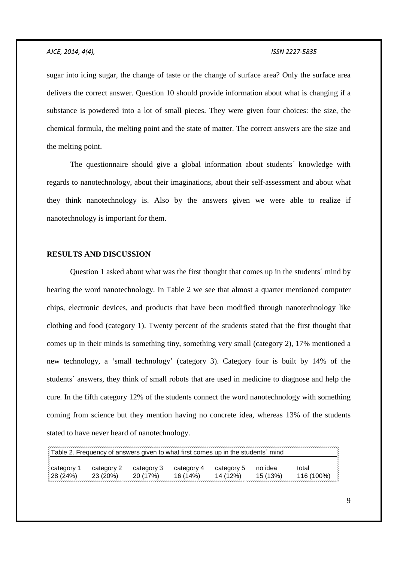sugar into icing sugar, the change of taste or the change of surface area? Only the surface area delivers the correct answer. Question 10 should provide information about what is changing if a substance is powdered into a lot of small pieces. They were given four choices: the size, the chemical formula, the melting point and the state of matter. The correct answers are the size and the melting point.

The questionnaire should give a global information about students´ knowledge with regards to nanotechnology, about their imaginations, about their self-assessment and about what they think nanotechnology is. Also by the answers given we were able to realize if nanotechnology is important for them.

## **RESULTS AND DISCUSSION**

Question 1 asked about what was the first thought that comes up in the students´ mind by hearing the word nanotechnology. In Table 2 we see that almost a quarter mentioned computer chips, electronic devices, and products that have been modified through nanotechnology like clothing and food (category 1). Twenty percent of the students stated that the first thought that comes up in their minds is something tiny, something very small (category 2), 17% mentioned a new technology, a 'small technology' (category 3). Category four is built by 14% of the students´ answers, they think of small robots that are used in medicine to diagnose and help the cure. In the fifth category 12% of the students connect the word nanotechnology with something coming from science but they mention having no concrete idea, whereas 13% of the students stated to have never heard of nanotechnology.

| Table 2. Frequency of answers given to what first comes up in the students' mind |            |            |            |            |         |            |  |
|----------------------------------------------------------------------------------|------------|------------|------------|------------|---------|------------|--|
| category 1                                                                       | category 2 | category 3 | category 4 | category 5 | no idea | total      |  |
| 28(24%)                                                                          | 23 (20%)   | 20 (17%)   | 16(14%)    | 14 (12%)   | 15(13%) | 116 (100%) |  |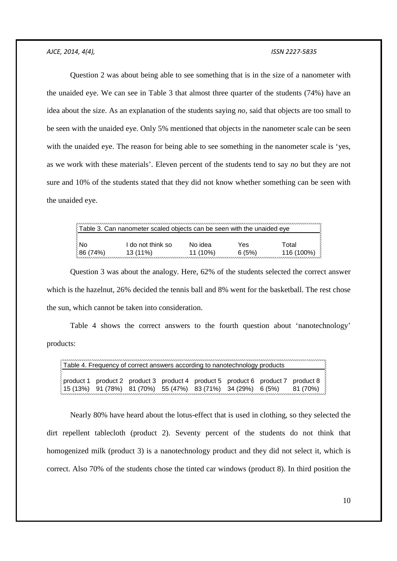Question 2 was about being able to see something that is in the size of a nanometer with the unaided eye. We can see in Table 3 that almost three quarter of the students (74%) have an idea about the size. As an explanation of the students saying *no,* said that objects are too small to be seen with the unaided eye. Only 5% mentioned that objects in the nanometer scale can be seen with the unaided eye. The reason for being able to see something in the nanometer scale is 'yes, as we work with these materials'. Eleven percent of the students tend to say *no* but they are not sure and 10% of the students stated that they did not know whether something can be seen with the unaided eye.

| Table 3. Can nanometer scaled objects can be seen with the unaided eye |                   |            |       |            |  |  |
|------------------------------------------------------------------------|-------------------|------------|-------|------------|--|--|
| ≬No                                                                    | I do not think so | No idea    | Yes   | Total      |  |  |
| 86 (74%)                                                               | $13(11\%)$        | $11(10\%)$ | 6(5%) | 116 (100%) |  |  |

Question 3 was about the analogy. Here, 62% of the students selected the correct answer which is the hazelnut, 26% decided the tennis ball and 8% went for the basketball. The rest chose the sun, which cannot be taken into consideration.

Table 4 shows the correct answers to the fourth question about 'nanotechnology' products:

| Table 4. Frequency of correct answers according to nanotechnology products |  |  |  |  |  |  |                                                                                                             |
|----------------------------------------------------------------------------|--|--|--|--|--|--|-------------------------------------------------------------------------------------------------------------|
|                                                                            |  |  |  |  |  |  | $\frac{2}{3}$ product 1 product 2 product 3 product 4 product 5 product 6 product 7 product 8 $\frac{2}{3}$ |
|                                                                            |  |  |  |  |  |  |                                                                                                             |

Nearly 80% have heard about the lotus-effect that is used in clothing, so they selected the dirt repellent tablecloth (product 2). Seventy percent of the students do not think that homogenized milk (product 3) is a nanotechnology product and they did not select it, which is correct. Also 70% of the students chose the tinted car windows (product 8). In third position the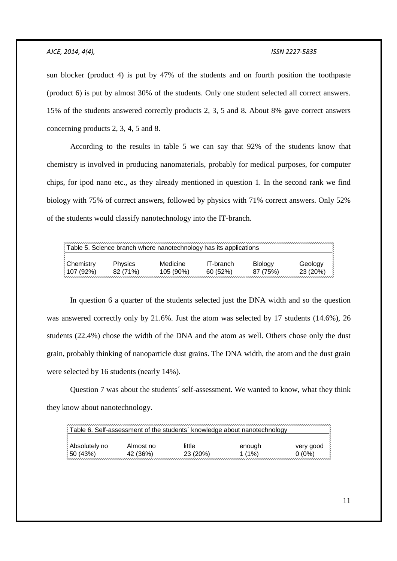sun blocker (product 4) is put by 47% of the students and on fourth position the toothpaste (product 6) is put by almost 30% of the students. Only one student selected all correct answers. 15% of the students answered correctly products 2, 3, 5 and 8. About 8% gave correct answers concerning products 2, 3, 4, 5 and 8.

According to the results in table 5 we can say that 92% of the students know that chemistry is involved in producing nanomaterials, probably for medical purposes, for computer chips, for ipod nano etc., as they already mentioned in question 1. In the second rank we find biology with 75% of correct answers, followed by physics with 71% correct answers. Only 52% of the students would classify nanotechnology into the IT-branch.

| Table 5. Science branch where nanotechnology has its applications |                |           |           |         |          |  |
|-------------------------------------------------------------------|----------------|-----------|-----------|---------|----------|--|
| <b>Chemistry</b>                                                  | <b>Physics</b> | Medicine  | IT-branch | Biology | Geology  |  |
| <b>107 (92%)</b>                                                  | 82 (71%)       | 105 (90%) | 60(52%)   | 87(75%) | 23 (20%) |  |

In question 6 a quarter of the students selected just the DNA width and so the question was answered correctly only by 21.6%. Just the atom was selected by 17 students (14.6%), 26 students (22.4%) chose the width of the DNA and the atom as well. Others chose only the dust grain, probably thinking of nanoparticle dust grains. The DNA width, the atom and the dust grain were selected by 16 students (nearly 14%).

Question 7 was about the students´ self-assessment. We wanted to know, what they think they know about nanotechnology.

|                 |           | Table 6. Self-assessment of the students' knowledge about nanotechnology |          |           |
|-----------------|-----------|--------------------------------------------------------------------------|----------|-----------|
| Absolutely no   | Almost no | little                                                                   | enough   | very good |
| <b>50 (43%)</b> | 42 (36%)  | 23 (20%)                                                                 | 1 $(1%)$ | $0(0\%)$  |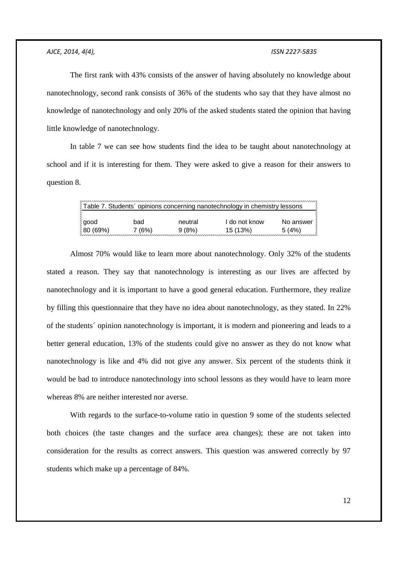The first rank with 43% consists of the answer of having absolutely no knowledge about nanotechnology, second rank consists of 36% of the students who say that they have almost no knowledge of nanotechnology and only 20% of the asked students stated the opinion that having little knowledge of nanotechnology.

In table 7 we can see how students find the idea to be taught about nanotechnology at school and if it is interesting for them. They were asked to give a reason for their answers to question 8.

| Table 7. Students' opinions concerning nanotechnology in chemistry lessons |       |         |               |           |  |  |
|----------------------------------------------------------------------------|-------|---------|---------------|-----------|--|--|
| ≬good                                                                      | bad   | neutral | I do not know | No answer |  |  |
|                                                                            |       |         |               |           |  |  |
| 80 (69%)                                                                   | 7(6%) | 9(8%)   | 15 (13%)      | 5(4%)     |  |  |
|                                                                            |       |         |               |           |  |  |

Almost 70% would like to learn more about nanotechnology. Only 32% of the students stated a reason. They say that nanotechnology is interesting as our lives are affected by nanotechnology and it is important to have a good general education. Furthermore, they realize by filling this questionnaire that they have no idea about nanotechnology, as they stated. In 22% of the students´ opinion nanotechnology is important, it is modern and pioneering and leads to a better general education, 13% of the students could give no answer as they do not know what nanotechnology is like and 4% did not give any answer. Six percent of the students think it would be bad to introduce nanotechnology into school lessons as they would have to learn more whereas 8% are neither interested nor averse.

With regards to the surface-to-volume ratio in question 9 some of the students selected both choices (the taste changes and the surface area changes); these are not taken into consideration for the results as correct answers. This question was answered correctly by 97 students which make up a percentage of 84%.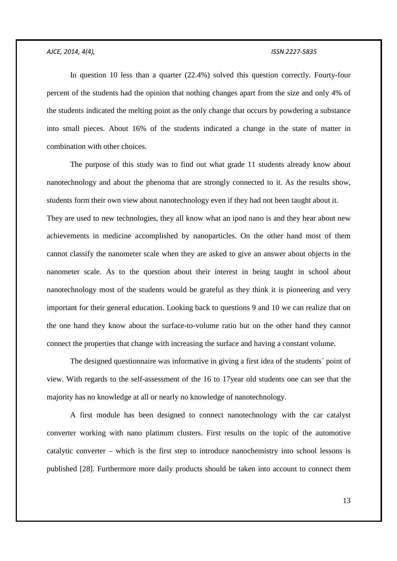In question 10 less than a quarter (22.4%) solved this question correctly. Fourty-four percent of the students had the opinion that nothing changes apart from the size and only 4% of the students indicated the melting point as the only change that occurs by powdering a substance into small pieces. About 16% of the students indicated a change in the state of matter in combination with other choices.

The purpose of this study was to find out what grade 11 students already know about nanotechnology and about the phenoma that are strongly connected to it. As the results show, students form their own view about nanotechnology even if they had not been taught about it. They are used to new technologies, they all know what an ipod nano is and they hear about new achievements in medicine accomplished by nanoparticles. On the other hand most of them cannot classify the nanometer scale when they are asked to give an answer about objects in the nanometer scale. As to the question about their interest in being taught in school about nanotechnology most of the students would be grateful as they think it is pioneering and very important for their general education. Looking back to questions 9 and 10 we can realize that on the one hand they know about the surface-to-volume ratio but on the other hand they cannot connect the properties that change with increasing the surface and having a constant volume.

The designed questionnaire was informative in giving a first idea of the students´ point of view. With regards to the self-assessment of the 16 to 17year old students one can see that the majority has no knowledge at all or nearly no knowledge of nanotechnology.

A first module has been designed to connect nanotechnology with the car catalyst converter working with nano platinum clusters. First results on the topic of the automotive catalytic converter – which is the first step to introduce nanochemistry into school lessons is published [28]. Furthermore more daily products should be taken into account to connect them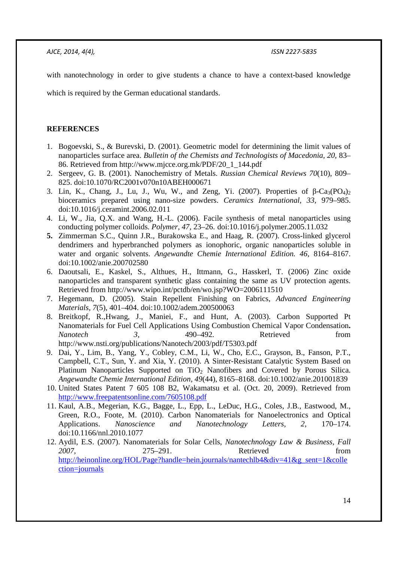with nanotechnology in order to give students a chance to have a context-based knowledge

which is required by the German educational standards.

## **REFERENCES**

- 1. Bogoevski, S., & Burevski, D. (2001). Geometric model for determining the limit values of nanoparticles surface area. *Bulletin of the Chemists and Technologists of Macedonia, 20,* 83– 86. Retrieved from http://www.mjcce.org.mk/PDF/20\_1\_144.pdf
- 2. Sergeev, G. B. (2001). Nanochemistry of Metals. *Russian Chemical Reviews 70*(10), 809– 825. doi:10.1070/RC2001v070n10ABEH000671
- 3. Lin, K., Chang, J., Lu, J., Wu, W., and Zeng, Yi. (2007). Properties of  $\beta$ -Ca<sub>3</sub>(PO<sub>4</sub>)<sub>2</sub> bioceramics prepared using nano-size powders. *Ceramics International, 33,* 979–985. doi:10.1016/j.ceramint.2006.02.011
- 4. Li, W., Jia, Q.X. and Wang, H.-L. (2006). Facile synthesis of metal nanoparticles using conducting polymer colloids. *Polymer, 47,* 23–26. doi:10.1016/j.polymer.2005.11.032
- **5.** Zimmerman S.C., Quinn J.R., Burakowska E., and Haag, R. (2007). Cross-linked glycerol dendrimers and hyperbranched polymers as ionophoric, organic nanoparticles soluble in water and organic solvents. *Angewandte Chemie International Edition. 46,* 8164–8167. doi:10.1002/anie.200702580
- 6. Daoutsali, E., Kaskel, S., Althues, H., Ittmann, G., Hasskerl, T. (2006) Zinc oxide nanoparticles and transparent synthetic glass containing the same as UV protection agents. Retrieved from http://www.wipo.int/pctdb/en/wo.jsp?WO=2006111510
- 7. Hegemann, D. (2005). Stain Repellent Finishing on Fabrics, *Advanced Engineering Materials, 7*(5), 401–404. doi:10.1002/adem.200500063
- 8. Breitkopf, R.,Hwang, J., Maniei, F., and Hunt, A. (2003). Carbon Supported Pt Nanomaterials for Fuel Cell Applications Using Combustion Chemical Vapor Condensation**.**  *Nanotech 3,* 490–492. Retrieved from http://www.nsti.org/publications/Nanotech/2003/pdf/T5303.pdf
- 9. Dai, Y., Lim, B., Yang, Y., Cobley, C.M., Li, W., Cho, E.C., Grayson, B., Fanson, P.T., Campbell, C.T., Sun, Y. and Xia, Y. (2010). A Sinter-Resistant Catalytic System Based on Platinum Nanoparticles Supported on  $TiO<sub>2</sub>$  Nanofibers and Covered by Porous Silica. *Angewandte Chemie International Edition, 49*(44), 8165–8168. doi:10.1002/anie.201001839
- 10. United States Patent 7 605 108 B2, Wakamatsu et al. (Oct. 20, 2009). Retrieved from http://www.freepatentsonline.com/7605108.pdf
- 11. Kaul, A.B., Megerian, K.G., Bagge, L., Epp, L., LeDuc, H.G., Coles, J.B., Eastwood, M., Green, R.O., Foote, M. (2010). Carbon Nanomaterials for Nanoelectronics and Optical Applications. *Nanoscience and Nanotechnology Letters, 2,* 170–174. doi:10.1166/nnl.2010.1077
- 12. Aydil, E.S. (2007). Nanomaterials for Solar Cells, *Nanotechnology Law & Business, Fall 2007,* 275–291. Retrieved from http://heinonline.org/HOL/Page?handle=hein.journals/nantechlb4&div=41&g\_sent=1&colle ction=journals